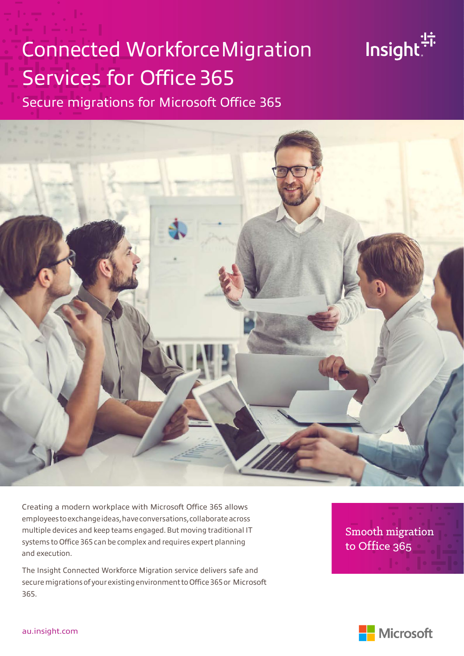# Connected WorkforceMigration Services for Office 365

Secure migrations for Microsoft Office 365



Creating a modern workplace with Microsoft Office 365 allows employees to exchange ideas, have conversations, collaborate across multiple devices and keep teams engaged.But moving traditional IT systems to Office 365 can be complex and requires expert planning and execution.

The Insight Connected Workforce Migration service delivers safe and secure migrations of your existing environment to Office 365 or Microsoft 365.

Smooth migration to Office 365

Insight:

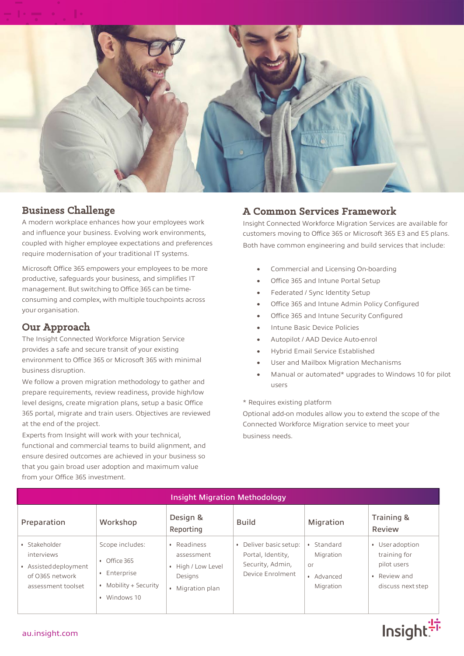

#### Business Challenge

A modern workplace enhances how your employees work and influence your business. Evolving work environments, coupled with higher employee expectations and preferences require modernisation of your traditional IT systems.

Microsoft Office 365 empowers your employees to be more productive, safeguards your business, and simplifies IT management. But switching to Office 365 can be timeconsuming and complex, with multiple touchpoints across your organisation.

#### Our Approach

The Insight Connected Workforce Migration Service provides a safe and secure transit of your existing environment to Office 365 or Microsoft 365 with minimal business disruption.

We follow a proven migration methodology to gather and prepare requirements, review readiness, provide high/low level designs, create migration plans, setup a basic Office 365 portal, migrate and train users. Objectives are reviewed at the end of the project.

Experts from Insight will work with your technical, functional and commercial teams to build alignment, and ensure desired outcomes are achieved in your business so that you gain broad user adoption and maximum value from your Office 365 investment.

### A Common Services Framework

Insight Connected Workforce Migration Services are available for customers moving to Office 365 or Microsoft 365 E3 and E5 plans. Both have common engineering and build services that include:

- Commercial and Licensing On-boarding
- Office 365 and Intune Portal Setup
- Federated / Sync Identity Setup
- Office 365 and Intune Admin Policy Configured
- Office 365 and Intune Security Configured
- Intune Basic Device Policies
- Autopilot / AAD Device Auto-enrol
- Hybrid Email Service Established
- User and Mailbox Migration Mechanisms
- Manual or automated\* upgrades to Windows 10 for pilot users

Insight<sup>:17</sup>

\* Requires existing platform

Optional add-on modules allow you to extend the scope of the Connected Workforce Migration service to meet your business needs.

| <b>Insight Migration Methodology</b>                                                          |                                                                                                            |                                                                                |                                                                                   |                                                                    |                                                                                                |  |
|-----------------------------------------------------------------------------------------------|------------------------------------------------------------------------------------------------------------|--------------------------------------------------------------------------------|-----------------------------------------------------------------------------------|--------------------------------------------------------------------|------------------------------------------------------------------------------------------------|--|
| Preparation                                                                                   | Workshop                                                                                                   | Design &<br>Reporting                                                          | <b>Build</b>                                                                      | Migration                                                          | Training &<br>Review                                                                           |  |
| · Stakeholder<br>interviews<br>• Assisted deployment<br>of 0365 network<br>assessment toolset | Scope includes:<br>Office 365<br>$\bullet$<br>Enterprise<br>$\bullet$<br>Mobility + Security<br>Windows 10 | • Readiness<br>assessment<br>• High / Low Level<br>Designs<br>• Migration plan | Deliver basic setup:<br>Portal, Identity,<br>Security, Admin,<br>Device Enrolment | Standard<br>Migration<br>O <sub>r</sub><br>• Advanced<br>Migration | • User adoption<br>training for<br>pilot users<br>Review and<br>$\bullet$<br>discuss next step |  |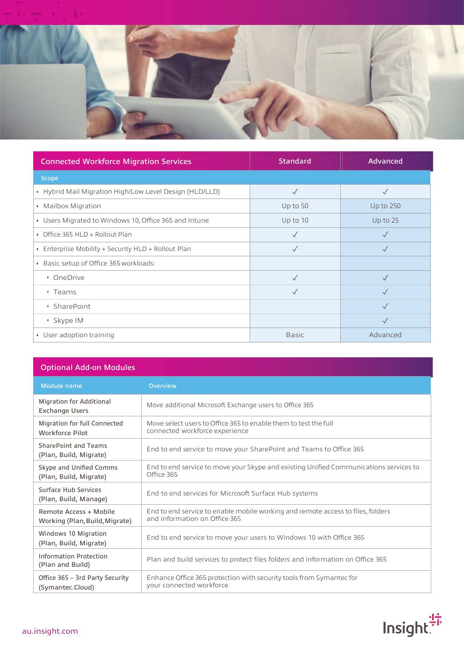

| <b>Connected Workforce Migration Services</b>           | <b>Standard</b> | <b>Advanced</b> |
|---------------------------------------------------------|-----------------|-----------------|
| Scope                                                   |                 |                 |
| • Hybrid Mail Migration High/Low Level Design (HLD/LLD) |                 | $\checkmark$    |
| • Mailbox Migration                                     | Up to $50$      | Up to $250$     |
| • Users Migrated to Windows 10, Office 365 and Intune   | Up to 10        | Up to 25        |
| • Office 365 HLD + Rollout Plan                         | $\checkmark$    | $\sqrt{}$       |
| • Enterprise Mobility + Security HLD + Rollout Plan     | $\checkmark$    | $\sqrt{}$       |
| • Basic setup of Office 365 workloads:                  |                 |                 |
| • OneDrive                                              |                 |                 |
| $\cdot$ Teams                                           | $\sqrt{}$       |                 |
| • SharePoint                                            |                 | $\checkmark$    |
| · Skype IM                                              |                 | $\checkmark$    |
| • User adoption training                                | <b>Basic</b>    | Advanced        |

| <b>Optional Add-on Modules</b>                           |                                                                                                                  |  |  |  |
|----------------------------------------------------------|------------------------------------------------------------------------------------------------------------------|--|--|--|
| Module name                                              | <b>Overview</b>                                                                                                  |  |  |  |
| <b>Migration for Additional</b><br><b>Exchange Users</b> | Move additional Microsoft Exchange users to Office 365                                                           |  |  |  |
| Migration for full Connected<br>Workforce Pilot          | Move select users to Office 365 to enable them to test the full<br>connected workforce experience                |  |  |  |
| <b>SharePoint and Teams</b><br>(Plan, Build, Migrate)    | End to end service to move your SharePoint and Teams to Office 365                                               |  |  |  |
| Skype and Unified Comms<br>(Plan, Build, Migrate)        | End to end service to move your Skype and existing Unified Communications services to<br>Office 365              |  |  |  |
| Surface Hub Services<br>(Plan, Build, Manage)            | End to end services for Microsoft Surface Hub systems                                                            |  |  |  |
| Remote Access + Mobile<br>Working (Plan, Build, Migrate) | End to end service to enable mobile working and remote access to files, folders<br>and information on Office 365 |  |  |  |
| Windows 10 Migration<br>(Plan, Build, Migrate)           | End to end service to move your users to Windows 10 with Office 365                                              |  |  |  |
| <b>Information Protection</b><br>(Plan and Build)        | Plan and build services to protect files folders and information on Office 365                                   |  |  |  |
| Office 365 - 3rd Party Security<br>(Symantec.Cloud)      | Enhance Office 365 protection with security tools from Symantec for<br>your connected workforce                  |  |  |  |